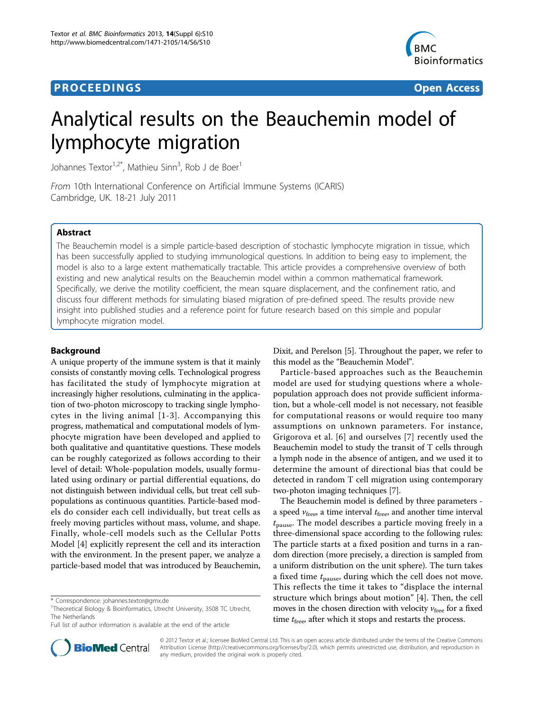# **PROCEEDINGS CONSIDERING S** Open Access **CONSIDERING S**



# Analytical results on the Beauchemin model of lymphocyte migration

Johannes Textor<sup>1,2\*</sup>, Mathieu Sinn<sup>3</sup>, Rob J de Boer<sup>1</sup>

From 10th International Conference on Artificial Immune Systems (ICARIS) Cambridge, UK. 18-21 July 2011

# Abstract

The Beauchemin model is a simple particle-based description of stochastic lymphocyte migration in tissue, which has been successfully applied to studying immunological questions. In addition to being easy to implement, the model is also to a large extent mathematically tractable. This article provides a comprehensive overview of both existing and new analytical results on the Beauchemin model within a common mathematical framework. Specifically, we derive the motility coefficient, the mean square displacement, and the confinement ratio, and discuss four different methods for simulating biased migration of pre-defined speed. The results provide new insight into published studies and a reference point for future research based on this simple and popular lymphocyte migration model.

# Background

A unique property of the immune system is that it mainly consists of constantly moving cells. Technological progress has facilitated the study of lymphocyte migration at increasingly higher resolutions, culminating in the application of two-photon microscopy to tracking single lymphocytes in the living animal [[1](#page-13-0)-[3\]](#page-13-0). Accompanying this progress, mathematical and computational models of lymphocyte migration have been developed and applied to both qualitative and quantitative questions. These models can be roughly categorized as follows according to their level of detail: Whole-population models, usually formulated using ordinary or partial differential equations, do not distinguish between individual cells, but treat cell subpopulations as continuous quantities. Particle-based models do consider each cell individually, but treat cells as freely moving particles without mass, volume, and shape. Finally, whole-cell models such as the Cellular Potts Model [\[4](#page-13-0)] explicitly represent the cell and its interaction with the environment. In the present paper, we analyze a particle-based model that was introduced by Beauchemin,



Particle-based approaches such as the Beauchemin model are used for studying questions where a wholepopulation approach does not provide sufficient information, but a whole-cell model is not necessary, not feasible for computational reasons or would require too many assumptions on unknown parameters. For instance, Grigorova et al. [[6](#page-13-0)] and ourselves [[7](#page-13-0)] recently used the Beauchemin model to study the transit of T cells through a lymph node in the absence of antigen, and we used it to determine the amount of directional bias that could be detected in random T cell migration using contemporary two-photon imaging techniques [\[7\]](#page-13-0).

The Beauchemin model is defined by three parameters a speed  $v_{\text{free}}$ , a time interval  $t_{\text{free}}$ , and another time interval  $t_{\text{pause}}$ . The model describes a particle moving freely in a three-dimensional space according to the following rules: The particle starts at a fixed position and turns in a random direction (more precisely, a direction is sampled from a uniform distribution on the unit sphere). The turn takes a fixed time  $t_{\text{pause}}$ , during which the cell does not move. This reflects the time it takes to "displace the internal structure which brings about motion" [[4\]](#page-13-0). Then, the cell moves in the chosen direction with velocity  $v_{\text{free}}$  for a fixed time  $t_{\text{free}}$ , after which it stops and restarts the process.



© 2012 Textor et al.; licensee BioMed Central Ltd. This is an open access article distributed under the terms of the Creative Commons Attribution License [\(http://creativecommons.org/licenses/by/2.0](http://creativecommons.org/licenses/by/2.0)), which permits unrestricted use, distribution, and reproduction in any medium, provided the original work is properly cited.

<sup>\*</sup> Correspondence: [johannes.textor@gmx.de](mailto:johannes.textor@gmx.de)

<sup>&</sup>lt;sup>1</sup>Theoretical Biology & Bioinformatics, Utrecht University, 3508 TC Utrecht, The Netherlands

Full list of author information is available at the end of the article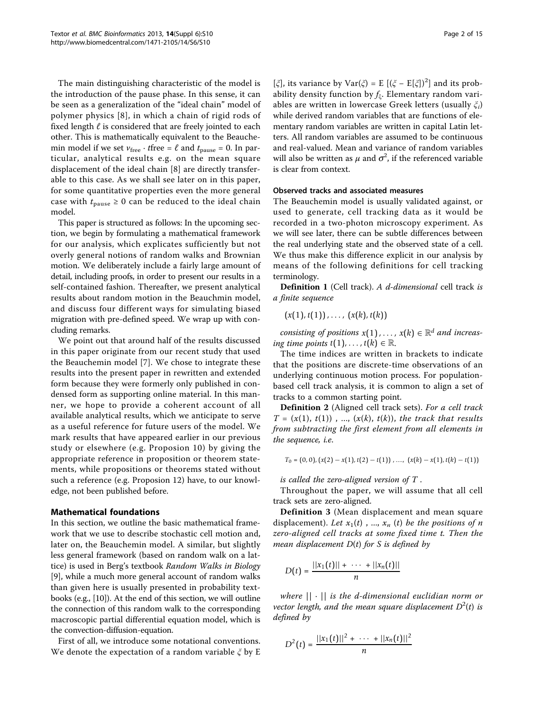The main distinguishing characteristic of the model is the introduction of the pause phase. In this sense, it can be seen as a generalization of the "ideal chain" model of polymer physics [[8\]](#page-13-0), in which a chain of rigid rods of fixed length  $\ell$  is considered that are freely jointed to each other. This is mathematically equivalent to the Beauchemin model if we set  $v_{\text{free}} \cdot \text{three} = \ell$  and  $t_{\text{pause}} = 0$ . In particular, analytical results e.g. on the mean square displacement of the ideal chain [\[8](#page-13-0)] are directly transferable to this case. As we shall see later on in this paper, for some quantitative properties even the more general case with  $t_{\text{pause}} \geq 0$  can be reduced to the ideal chain model.

This paper is structured as follows: In the upcoming section, we begin by formulating a mathematical framework for our analysis, which explicates sufficiently but not overly general notions of random walks and Brownian motion. We deliberately include a fairly large amount of detail, including proofs, in order to present our results in a self-contained fashion. Thereafter, we present analytical results about random motion in the Beauchmin model, and discuss four different ways for simulating biased migration with pre-defined speed. We wrap up with concluding remarks.

We point out that around half of the results discussed in this paper originate from our recent study that used the Beauchemin model [[7\]](#page-13-0). We chose to integrate these results into the present paper in rewritten and extended form because they were formerly only published in condensed form as supporting online material. In this manner, we hope to provide a coherent account of all available analytical results, which we anticipate to serve as a useful reference for future users of the model. We mark results that have appeared earlier in our previous study or elsewhere (e.g. Proposion 10) by giving the appropriate reference in proposition or theorem statements, while propositions or theorems stated without such a reference (e.g. Proposion 12) have, to our knowledge, not been published before.

# Mathematical foundations

In this section, we outline the basic mathematical framework that we use to describe stochastic cell motion and, later on, the Beauchemin model. A similar, but slightly less general framework (based on random walk on a lattice) is used in Berg's textbook Random Walks in Biology [[9\]](#page-13-0), while a much more general account of random walks than given here is usually presented in probability textbooks (e.g., [[10](#page-13-0)]). At the end of this section, we will outline the connection of this random walk to the corresponding macroscopic partial differential equation model, which is the convection-diffusion-equation.

First of all, we introduce some notational conventions. We denote the expectation of a random variable  $\xi$  by E

[ξ], its variance by Var(ξ) = E  $[(\xi - E[\xi])^2]$  and its probability density function by  $f_{\xi}$ . Elementary random variables are written in lowercase Greek letters (usually  $\xi_i$ ) while derived random variables that are functions of elementary random variables are written in capital Latin letters. All random variables are assumed to be continuous and real-valued. Mean and variance of random variables will also be written as  $\mu$  and  $\sigma^2$ , if the referenced variable is clear from context.

# Observed tracks and associated measures

The Beauchemin model is usually validated against, or used to generate, cell tracking data as it would be recorded in a two-photon microscopy experiment. As we will see later, there can be subtle differences between the real underlying state and the observed state of a cell. We thus make this difference explicit in our analysis by means of the following definitions for cell tracking terminology.

Definition 1 (Cell track). A d-dimensional cell track is a finite sequence

$$
(x(1),t(1)),\ldots,(x(k),t(k))
$$

consisting of positions  $x(1)$ , ...,  $x(k) \in \mathbb{R}^d$  and increasing time points  $t(1), \ldots, t(k) \in \mathbb{R}$ .

The time indices are written in brackets to indicate that the positions are discrete-time observations of an underlying continuous motion process. For populationbased cell track analysis, it is common to align a set of tracks to a common starting point.

Definition 2 (Aligned cell track sets). For a cell track  $T = (x(1), t(1))$ , ...,  $(x(k), t(k))$ , the track that results from subtracting the first element from all elements in the sequence, i.e.

$$
T_0 = (0,0), (x(2) - x(1), t(2) - t(1)) , ...., (x(k) - x(1), t(k) - t(1))
$$

is called the zero-aligned version of T .

Throughout the paper, we will assume that all cell track sets are zero-aligned.

Definition 3 (Mean displacement and mean square displacement). Let  $x_1(t)$ , ...,  $x_n$  (t) be the positions of n zero-aligned cell tracks at some fixed time t. Then the mean displacement  $D(t)$  for S is defined by

$$
D(t) = \frac{||x_1(t)|| + \cdots + ||x_n(t)||}{n}
$$

where  $|| \cdot ||$  is the d-dimensional euclidian norm or vector length, and the mean square displacement  $D^2(t)$  is defined by

$$
D^{2}(t) = \frac{||x_{1}(t)||^{2} + \cdots + ||x_{n}(t)||^{2}}{n}
$$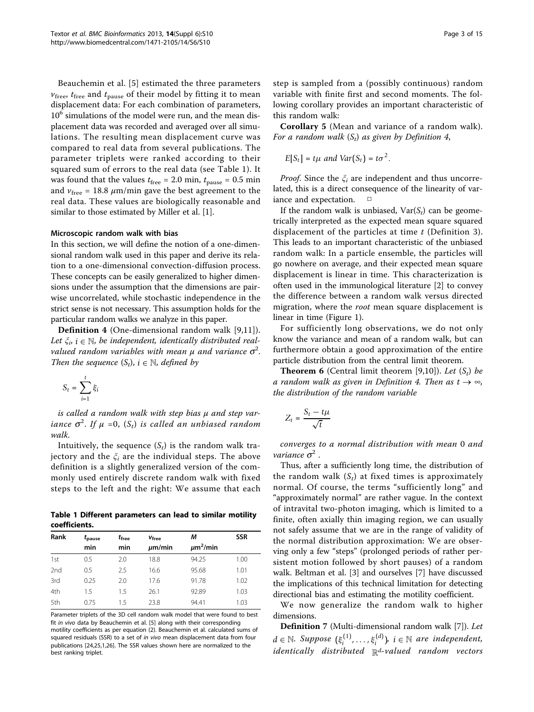<span id="page-2-0"></span>Beauchemin et al. [[5\]](#page-13-0) estimated the three parameters  $v_{\text{free}}$ ,  $t_{\text{free}}$  and  $t_{\text{noise}}$  of their model by fitting it to mean displacement data: For each combination of parameters,  $10<sup>6</sup>$  simulations of the model were run, and the mean displacement data was recorded and averaged over all simulations. The resulting mean displacement curve was compared to real data from several publications. The parameter triplets were ranked according to their squared sum of errors to the real data (see Table 1). It was found that the values  $t_{\text{free}} = 2.0$  min,  $t_{\text{pause}} = 0.5$  min and  $v_{\text{free}} = 18.8 \ \mu \text{m/min}$  gave the best agreement to the real data. These values are biologically reasonable and similar to those estimated by Miller et al. [[1\]](#page-13-0).

#### Microscopic random walk with bias

In this section, we will define the notion of a one-dimensional random walk used in this paper and derive its relation to a one-dimensional convection-diffusion process. These concepts can be easily generalized to higher dimensions under the assumption that the dimensions are pairwise uncorrelated, while stochastic independence in the strict sense is not necessary. This assumption holds for the particular random walks we analyze in this paper.

Definition 4 (One-dimensional random walk [\[9](#page-13-0),[11\]](#page-13-0)). Let  $\xi_i$ ,  $i \in \mathbb{N}$ , be independent, identically distributed realvalued random variables with mean  $\mu$  and variance  $\sigma^2$ . Then the sequence  $(S_t)$ ,  $i \in \mathbb{N}$ , defined by

$$
S_t = \sum_{i=1}^t \xi_i
$$

is called a random walk with step bias  $\mu$  and step variance  $\sigma^2$ . If  $\mu$  =0, (S<sub>t</sub>) is called an unbiased random walk.

Intuitively, the sequence  $(S_t)$  is the random walk trajectory and the  $\xi_i$  are the individual steps. The above definition is a slightly generalized version of the commonly used entirely discrete random walk with fixed steps to the left and the right: We assume that each

Table 1 Different parameters can lead to similar motility coefficients.

| Rank            | $\mathit{r}_\mathsf{cause}$<br>min | $t_{\mathsf{free}}$<br>min | $V_{\text{free}}$<br>$\mu$ m/min | м<br>$\mu$ m <sup>2</sup> /min | <b>SSR</b> |
|-----------------|------------------------------------|----------------------------|----------------------------------|--------------------------------|------------|
| 1st             | 0.5                                | 2.0                        | 18.8                             | 94.25                          | 1.00       |
| 2 <sub>nd</sub> | 0.5                                | 2.5                        | 16.6                             | 95.68                          | 1.01       |
| 3rd             | 0.25                               | 2.0                        | 17.6                             | 91.78                          | 1.02       |
| 4th             | 1.5                                | 1.5                        | 26.1                             | 92.89                          | 1.03       |
| 5th             | 0.75                               | 15                         | 23.8                             | 94.41                          | 1.03       |

Parameter triplets of the 3D cell random walk model that were found to best fit in vivo data by Beauchemin et al. [\[5\]](#page-13-0) along with their corresponding motility coefficients as per equation (2). Beauchemin et al. calculated sums of squared residuals (SSR) to a set of in vivo mean displacement data from four publications [[24,25](#page-14-0),[1](#page-13-0),[26\]](#page-14-0). The SSR values shown here are normalized to the best ranking triplet.

step is sampled from a (possibly continuous) random variable with finite first and second moments. The following corollary provides an important characteristic of this random walk:

Corollary 5 (Mean and variance of a random walk). For a random walk  $(S_t)$  as given by Definition 4,

$$
E[S_t] = t\mu \text{ and } Var(S_t) = t\sigma^2.
$$

*Proof.* Since the  $\xi$  are independent and thus uncorrelated, this is a direct consequence of the linearity of variance and expectation.

If the random walk is unbiased,  $Var(S_t)$  can be geometrically interpreted as the expected mean square squared displacement of the particles at time  $t$  (Definition 3). This leads to an important characteristic of the unbiased random walk: In a particle ensemble, the particles will go nowhere on average, and their expected mean square displacement is linear in time. This characterization is often used in the immunological literature [\[2](#page-13-0)] to convey the difference between a random walk versus directed migration, where the root mean square displacement is linear in time (Figure [1](#page-3-0)).

For sufficiently long observations, we do not only know the variance and mean of a random walk, but can furthermore obtain a good approximation of the entire particle distribution from the central limit theorem.

**Theorem 6** (Central limit theorem [[9,10\]](#page-13-0)). Let  $(S_t)$  be a random walk as given in Definition 4. Then as  $t \to \infty$ , the distribution of the random variable

$$
Z_t = \frac{S_t - t\mu}{\sqrt{t}}
$$

converges to a normal distribution with mean 0 and variance  $\sigma^2$  .

Thus, after a sufficiently long time, the distribution of the random walk  $(S_t)$  at fixed times is approximately normal. Of course, the terms "sufficiently long" and "approximately normal" are rather vague. In the context of intravital two-photon imaging, which is limited to a finite, often axially thin imaging region, we can usually not safely assume that we are in the range of validity of the normal distribution approximation: We are observing only a few "steps" (prolonged periods of rather persistent motion followed by short pauses) of a random walk. Beltman et al. [[3\]](#page-13-0) and ourselves [[7\]](#page-13-0) have discussed the implications of this technical limitation for detecting directional bias and estimating the motility coefficient.

We now generalize the random walk to higher dimensions.

Definition 7 (Multi-dimensional random walk [[7\]](#page-13-0)). Let  $d \in \mathbb{N}$ . Suppose  $(\xi_i^{(1)}, \ldots, \xi_i^{(d)})$ ,  $i \in \mathbb{N}$  are independent, identically distributed R*d*-valued random vectors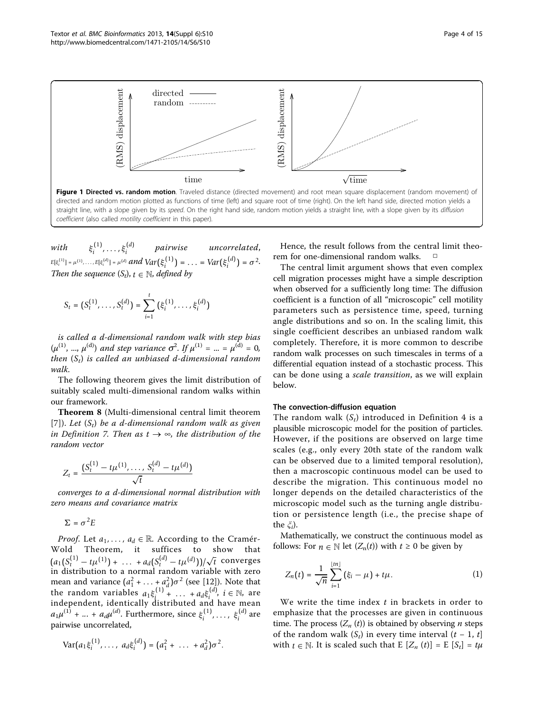<span id="page-3-0"></span>

with  $\zeta_i^{(1)}, \ldots, \xi_i^{(d)}$ *<sup>i</sup>* pairwise uncorrelated,  $E[\xi_i^{(1)}] = \mu^{(1)}, \ldots, E[\xi_i^{(d)}] = \mu^{(d)}$  and  $Var(\xi_i^{(1)}) = \ldots = Var(\xi_i^{(d)}) = \sigma^2$ . Then the sequence  $(S_t)$ ,  $t \in \mathbb{N}$ , defined by

$$
S_t = (S_t^{(1)}, \ldots, S_t^{(d)}) = \sum_{i=1}^t (\xi_i^{(1)}, \ldots, \xi_i^{(d)})
$$

is called a d-dimensional random walk with step bias  $(\mu^{(1)}, ..., \mu^{(d)})$  and step variance  $\sigma^2$ . If  $\mu^{(1)} = ... = \mu^{(d)} = 0$ , then  $(S_t)$  is called an unbiased d-dimensional random walk.

The following theorem gives the limit distribution of suitably scaled multi-dimensional random walks within our framework.

Theorem 8 (Multi-dimensional central limit theorem [[7](#page-13-0)]). Let  $(S_t)$  be a d-dimensional random walk as given in Definition 7. Then as  $t \to \infty$ , the distribution of the random vector

$$
Z_t = \frac{(S_t^{(1)} - t\mu^{(1)}, \dots, S_t^{(d)} - t\mu^{(d)})}{\sqrt{t}}
$$

converges to a d-dimensional normal distribution with zero means and covariance matrix

 $\Sigma = \sigma^2 E$ 

*Proof.* Let  $a_1, \ldots, a_d \in \mathbb{R}$ . According to the Cramér-Wold Theorem, it suffices to show that  $(a_1(S_t^{(1)} - t\mu^{(1)}) + \dots + a_d(S_t^{(d)} - t\mu^{(d)}))/\sqrt{t}$  converges in distribution to a normal random variable with zero mean and variance  $(a_1^2 + \ldots + a_d^2)\sigma^2$  (see [\[12](#page-13-0)]). Note that the random variables  $a_1 \xi_1^{(1)} + \ldots + a_d \xi_i^{(d)}$ ,  $i \in \mathbb{N}$ , are independent, identically distributed and have mean  $a_1\mu^{(1)}$  + ... +  $a_d\mu^{(d)}$ . Furthermore, since  $\xi_i^{(1)}, \ldots, \xi_i^{(d)}$  are pairwise uncorrelated,

$$
\text{Var}(a_1\xi_i^{(1)},\ldots,a_d\xi_i^{(d)})=(a_1^2+\ldots+a_d^2)\sigma^2.
$$

Hence, the result follows from the central limit theorem for one-dimensional random walks.

The central limit argument shows that even complex cell migration processes might have a simple description when observed for a sufficiently long time: The diffusion coefficient is a function of all "microscopic" cell motility parameters such as persistence time, speed, turning angle distributions and so on. In the scaling limit, this single coefficient describes an unbiased random walk completely. Therefore, it is more common to describe random walk processes on such timescales in terms of a differential equation instead of a stochastic process. This can be done using a scale transition, as we will explain below.

#### The convection-diffusion equation

The random walk  $(S_t)$  introduced in Definition 4 is a plausible microscopic model for the position of particles. However, if the positions are observed on large time scales (e.g., only every 20th state of the random walk can be observed due to a limited temporal resolution), then a macroscopic continuous model can be used to describe the migration. This continuous model no longer depends on the detailed characteristics of the microscopic model such as the turning angle distribution or persistence length (i.e., the precise shape of the  $\xi_i$ ).

Mathematically, we construct the continuous model as follows: For  $n \in \mathbb{N}$  let  $(Z_n(t))$  with  $t \geq 0$  be given by

$$
Z_n(t) = \frac{1}{\sqrt{n}} \sum_{i=1}^{\lfloor tn \rfloor} (\xi_i - \mu) + t\mu.
$$
 (1)

We write the time index  $t$  in brackets in order to emphasize that the processes are given in continuous time. The process  $(Z_n(t))$  is obtained by observing *n* steps of the random walk  $(S_t)$  in every time interval  $(t - 1, t]$ with  $t \in \mathbb{N}$ . It is scaled such that  $E[Z_n(t)] = E[S_t] = t\mu$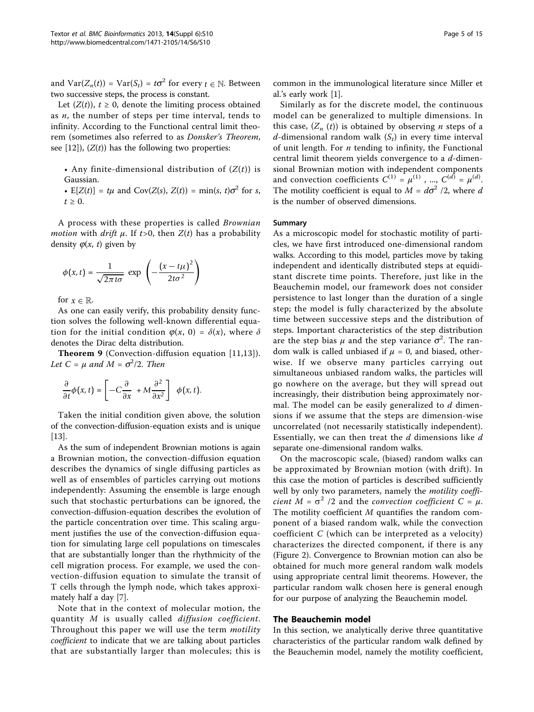and  $Var(Z_n(t)) = Var(S_t) = t\sigma^2$  for every  $t \in \mathbb{N}$ . Between two successive steps, the process is constant.

Let  $(Z(t))$ ,  $t \ge 0$ , denote the limiting process obtained as  $n$ , the number of steps per time interval, tends to infinity. According to the Functional central limit theorem (sometimes also referred to as Donsker's Theorem, see [[12](#page-13-0)]),  $(Z(t))$  has the following two properties:

• Any finite-dimensional distribution of  $(Z(t))$  is Gaussian.

•  $E[Z(t)] = t\mu$  and  $Cov(Z(s), Z(t)) = min(s, t)\sigma^2$  for s,  $t \geq 0$ .

A process with these properties is called Brownian *motion* with *drift*  $\mu$ . If  $t > 0$ , then  $Z(t)$  has a probability density  $\varphi(x, t)$  given by

$$
\phi(x,t) = \frac{1}{\sqrt{2\pi t\sigma}} \exp\left(-\frac{(x-t\mu)^2}{2t\sigma^2}\right)
$$

for  $x \in \mathbb{R}$ .

As one can easily verify, this probability density function solves the following well-known differential equation for the initial condition  $\varphi(x, 0) = \delta(x)$ , where  $\delta$ denotes the Dirac delta distribution.

Theorem 9 (Convection-diffusion equation [[11,13\]](#page-13-0)). Let  $C = \mu$  and  $M = \sigma^2/2$ . Then

$$
\frac{\partial}{\partial t}\phi\big(x,t\big)=\left[-C\frac{\partial}{\partial x}\big]+M\frac{\partial^2}{\partial x^2}\right]\ \phi\big(x,t\big).
$$

Taken the initial condition given above, the solution of the convection-diffusion-equation exists and is unique [[13\]](#page-13-0).

As the sum of independent Brownian motions is again a Brownian motion, the convection-diffusion equation describes the dynamics of single diffusing particles as well as of ensembles of particles carrying out motions independently: Assuming the ensemble is large enough such that stochastic perturbations can be ignored, the convection-diffusion-equation describes the evolution of the particle concentration over time. This scaling argument justifies the use of the convection-diffusion equation for simulating large cell populations on timescales that are substantially longer than the rhythmicity of the cell migration process. For example, we used the convection-diffusion equation to simulate the transit of T cells through the lymph node, which takes approximately half a day [\[7](#page-13-0)].

Note that in the context of molecular motion, the quantity M is usually called *diffusion coefficient*. Throughout this paper we will use the term *motility* coefficient to indicate that we are talking about particles that are substantially larger than molecules; this is

common in the immunological literature since Miller et al.'s early work [\[1](#page-13-0)].

Similarly as for the discrete model, the continuous model can be generalized to multiple dimensions. In this case,  $(Z_n(t))$  is obtained by observing *n* steps of a d-dimensional random walk  $(S_t)$  in every time interval of unit length. For  $n$  tending to infinity, the Functional central limit theorem yields convergence to a d-dimensional Brownian motion with independent components and convection coefficients  $C^{(1)} = \mu^{(1)}$ , ...,  $C^{(d)} = \mu^{(d)}$ . The motility coefficient is equal to  $M = d\sigma^2/2$ , where d is the number of observed dimensions.

# Summary

As a microscopic model for stochastic motility of particles, we have first introduced one-dimensional random walks. According to this model, particles move by taking independent and identically distributed steps at equidistant discrete time points. Therefore, just like in the Beauchemin model, our framework does not consider persistence to last longer than the duration of a single step; the model is fully characterized by the absolute time between successive steps and the distribution of steps. Important characteristics of the step distribution are the step bias  $\mu$  and the step variance  $\sigma^2$ . The random walk is called unbiased if  $\mu = 0$ , and biased, otherwise. If we observe many particles carrying out simultaneous unbiased random walks, the particles will go nowhere on the average, but they will spread out increasingly, their distribution being approximately normal. The model can be easily generalized to  $d$  dimensions if we assume that the steps are dimension-wise uncorrelated (not necessarily statistically independent). Essentially, we can then treat the  $d$  dimensions like  $d$ separate one-dimensional random walks.

On the macroscopic scale, (biased) random walks can be approximated by Brownian motion (with drift). In this case the motion of particles is described sufficiently well by only two parameters, namely the *motility coeffi*cient  $M = \sigma^2/2$  and the convection coefficient  $C = \mu$ . The motility coefficient  $M$  quantifies the random component of a biased random walk, while the convection coefficient C (which can be interpreted as a velocity) characterizes the directed component, if there is any (Figure [2\)](#page-5-0). Convergence to Brownian motion can also be obtained for much more general random walk models using appropriate central limit theorems. However, the particular random walk chosen here is general enough for our purpose of analyzing the Beauchemin model.

# The Beauchemin model

In this section, we analytically derive three quantitative characteristics of the particular random walk defined by the Beauchemin model, namely the motility coefficient,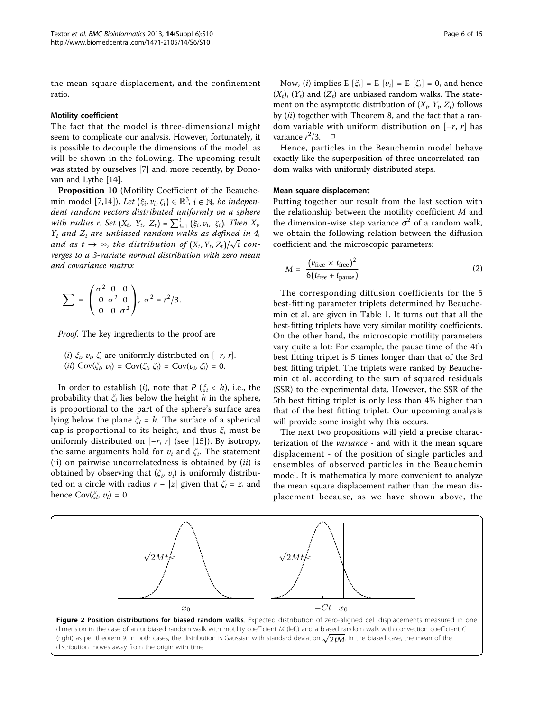<span id="page-5-0"></span>the mean square displacement, and the confinement ratio.

#### Motility coefficient

The fact that the model is three-dimensional might seem to complicate our analysis. However, fortunately, it is possible to decouple the dimensions of the model, as will be shown in the following. The upcoming result was stated by ourselves [\[7](#page-13-0)] and, more recently, by Donovan and Lythe [\[14](#page-13-0)].

Proposition 10 (Motility Coefficient of the Beauche-min model [[7](#page-13-0),[14\]](#page-13-0)). Let  $(\xi_i, v_i, \zeta_i) \in \mathbb{R}^3$ ,  $i \in \mathbb{N}$ , be independent random vectors distributed uniformly on a sphere with radius r. Set  $(X_t, Y_t, Z_t) = \sum_{i=1}^t (\xi_i, v_i, \zeta_i)$ . Then  $X_b$  $Y_t$  and  $Z_t$  are unbiased random walks as defined in 4, and as  $t \to \infty$ , the distribution of  $(X_t, Y_t, Z_t)/\sqrt{t}$  converges to a 3-variate normal distribution with zero mean and covariance matrix

$$
\sum = \begin{pmatrix} \sigma^2 & 0 & 0 \\ 0 & \sigma^2 & 0 \\ 0 & 0 & \sigma^2 \end{pmatrix}, \ \sigma^2 = r^2/3.
$$

Proof. The key ingredients to the proof are

(i)  $\xi_i$ ,  $v_i$ ,  $\zeta_i$  are uniformly distributed on [-r, r]. (ii)  $\text{Cov}(\xi_i, v_i) = \text{Cov}(\xi_i, \zeta_i) = \text{Cov}(v_i, \zeta_i) = 0.$ 

In order to establish (i), note that  $P(\xi_i < h)$ , i.e., the probability that  $\xi$  lies below the height h in the sphere, is proportional to the part of the sphere's surface area lying below the plane  $\xi_i = h$ . The surface of a spherical cap is proportional to its height, and thus  $\xi_i$  must be uniformly distributed on  $[-r, r]$  (see [[15\]](#page-13-0)). By isotropy, the same arguments hold for  $v_i$  and  $\zeta_i$ . The statement (ii) on pairwise uncorrelatedness is obtained by  $(ii)$  is obtained by observing that  $(\xi_i, v_i)$  is uniformly distributed on a circle with radius  $r - |z|$  given that  $\zeta_i = z$ , and hence  $Cov(\xi_i, v_i) = 0$ .

Now, (*i*) implies E  $[\xi_i]=E[v_i]=E[\zeta_i]=0$ , and hence  $(X_t)$ ,  $(Y_t)$  and  $(Z_t)$  are unbiased random walks. The statement on the asymptotic distribution of  $(X_t, Y_t, Z_t)$  follows by (ii) together with Theorem 8, and the fact that a random variable with uniform distribution on  $[-r, r]$  has variance  $r^2/3$ .  $\Box$ 

Hence, particles in the Beauchemin model behave exactly like the superposition of three uncorrelated random walks with uniformly distributed steps.

# Mean square displacement

Putting together our result from the last section with the relationship between the motility coefficient  $M$  and the dimension-wise step variance  $\sigma^2$  of a random walk, we obtain the following relation between the diffusion coefficient and the microscopic parameters:

$$
M = \frac{(v_{\text{free}} \times t_{\text{free}})^2}{6(t_{\text{free}} + t_{\text{pause}})}
$$
(2)

The corresponding diffusion coefficients for the 5 best-fitting parameter triplets determined by Beauchemin et al. are given in Table [1.](#page-2-0) It turns out that all the best-fitting triplets have very similar motility coefficients. On the other hand, the microscopic motility parameters vary quite a lot: For example, the pause time of the 4th best fitting triplet is 5 times longer than that of the 3rd best fitting triplet. The triplets were ranked by Beauchemin et al. according to the sum of squared residuals (SSR) to the experimental data. However, the SSR of the 5th best fitting triplet is only less than 4% higher than that of the best fitting triplet. Our upcoming analysis will provide some insight why this occurs.

The next two propositions will yield a precise characterization of the *variance* - and with it the mean square displacement - of the position of single particles and ensembles of observed particles in the Beauchemin model. It is mathematically more convenient to analyze the mean square displacement rather than the mean displacement because, as we have shown above, the



Figure 2 Position distributions for biased random walks. Expected distribution of zero-aligned cell displacements measured in one dimension in the case of an unbiased random walk with motility coefficient M (left) and a biased random walk with convection coefficient C (right) as per theorem 9. In both cases, the distribution is Gaussian with standard deviation  $\sqrt{2tM}$ . In the biased case, the mean of the mean of the distribution moves away from the origin with time.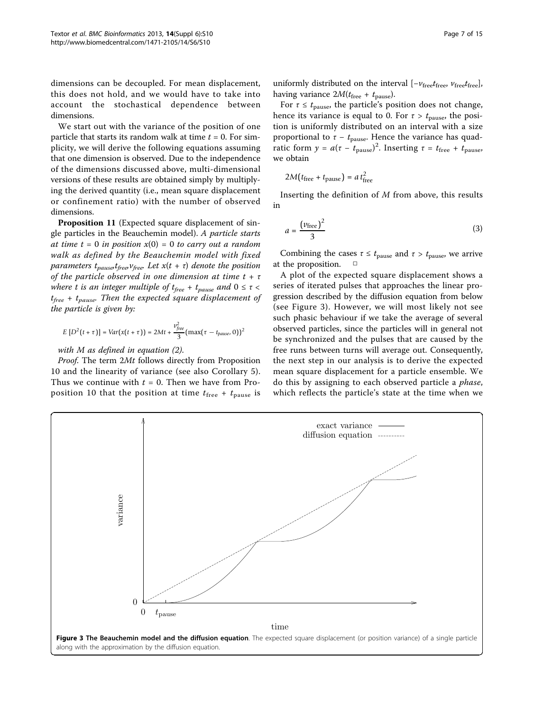dimensions can be decoupled. For mean displacement, this does not hold, and we would have to take into account the stochastical dependence between dimensions.

We start out with the variance of the position of one particle that starts its random walk at time  $t = 0$ . For simplicity, we will derive the following equations assuming that one dimension is observed. Due to the independence of the dimensions discussed above, multi-dimensional versions of these results are obtained simply by multiplying the derived quantity (i.e., mean square displacement or confinement ratio) with the number of observed dimensions.

Proposition 11 (Expected square displacement of single particles in the Beauchemin model). A particle starts at time  $t = 0$  in position  $x(0) = 0$  to carry out a random walk as defined by the Beauchemin model with fixed parameters  $t_{pauge}t_{free}v_{free}$ . Let  $x(t + \tau)$  denote the position of the particle observed in one dimension at time  $t + \tau$ where t is an integer multiple of  $t_{free} + t_{pause}$  and  $0 \le \tau$  $t_{free}$  +  $t_{pause}$ . Then the expected square displacement of the particle is given by:

$$
E\left[D^2\big(t+\tau\big)\right]=Var\big(x\big(t+\tau\big)\big)=2Mt+\frac{v_{free}^2}{3}\big(\text{max}\big(\tau-t_{pause},0\big)\big)^2
$$

with M as defined in equation (2).

Proof. The term 2Mt follows directly from Proposition 10 and the linearity of variance (see also Corollary 5). Thus we continue with  $t = 0$ . Then we have from Proposition 10 that the position at time  $t_{\text{free}} + t_{\text{pause}}$  is

uniformly distributed on the interval [- $v_{\text{free}}t_{\text{free}}$ ,  $v_{\text{free}}t_{\text{free}}$ ], having variance  $2M(t_{\text{free}} + t_{\text{pause}})$ .

For  $\tau \leq t_{\text{pause}}$ , the particle's position does not change, hence its variance is equal to 0. For  $\tau > t_{\text{pulse}}$ , the position is uniformly distributed on an interval with a size proportional to  $\tau - t_{\text{pause}}$ . Hence the variance has quadratic form  $y = a(\tau - t_{\text{pause}})^2$ . Inserting  $\tau = t_{\text{free}} + t_{\text{pause}}$ we obtain

$$
2M(t_{\text{free}} + t_{\text{pause}}) = a t_{\text{free}}^2
$$

Inserting the definition of  $M$  from above, this results in

$$
a = \frac{(v_{\text{free}})^2}{3} \tag{3}
$$

Combining the cases  $\tau \leq t_{\text{pause}}$  and  $\tau > t_{\text{pause}}$ , we arrive at the proposition.  $\Box$ 

A plot of the expected square displacement shows a series of iterated pulses that approaches the linear progression described by the diffusion equation from below (see Figure 3). However, we will most likely not see such phasic behaviour if we take the average of several observed particles, since the particles will in general not be synchronized and the pulses that are caused by the free runs between turns will average out. Consequently, the next step in our analysis is to derive the expected mean square displacement for a particle ensemble. We do this by assigning to each observed particle a *phase*, which reflects the particle's state at the time when we

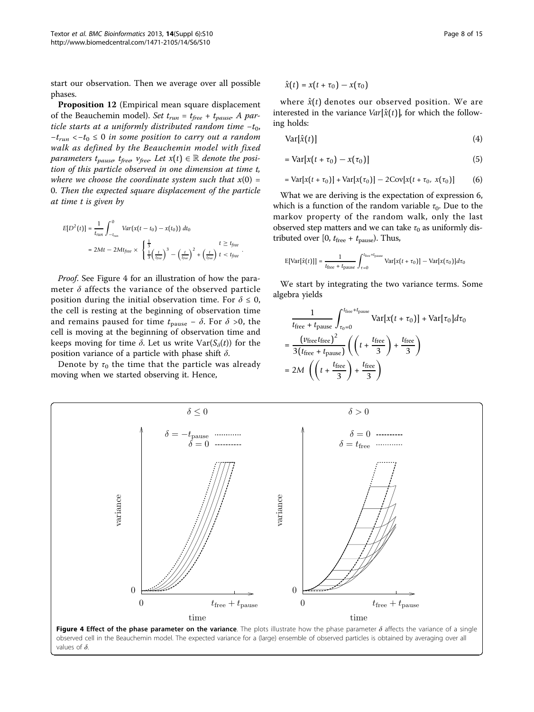start our observation. Then we average over all possible phases.

Proposition 12 (Empirical mean square displacement of the Beauchemin model). Set  $t_{run} = t_{free} + t_{pause}$ . A particle starts at a uniformly distributed random time  $-t_0$ ,  $-t_{run} < t_0 \leq 0$  in some position to carry out a random walk as defined by the Beauchemin model with fixed parameters  $t_{pause}$   $t_{free}$ ,  $v_{free}$ . Let  $x(t) \in \mathbb{R}$  denote the position of this particle observed in one dimension at time t, where we choose the coordinate system such that  $x(0) =$ 0. Then the expected square displacement of the particle at time t is given by

$$
E[D^2(t)] = \frac{1}{t_{run}} \int_{-t_{run}}^0 Var(x(t - t_0) - x(t_0)) dt_0
$$
  
= 2Mt - 2Mt<sub>free</sub> ×  $\begin{cases} \frac{1}{3} & t \ge t_{free} \\ \frac{1}{3} \left(\frac{t}{t_{free}}\right)^3 - \left(\frac{t}{t_{free}}\right)^2 + \left(\frac{t}{t_{free}}\right)t < t_{free} \end{cases}$ 

Proof. See Figure 4 for an illustration of how the parameter  $\delta$  affects the variance of the observed particle position during the initial observation time. For  $\delta \leq 0$ , the cell is resting at the beginning of observation time and remains paused for time  $t_{\text{pause}} - \delta$ . For  $\delta > 0$ , the cell is moving at the beginning of observation time and keeps moving for time  $\delta$ . Let us write Var( $S_{\delta}(t)$ ) for the position variance of a particle with phase shift  $\delta$ .

Denote by  $\tau_0$  the time that the particle was already moving when we started observing it. Hence,

$$
\hat{x}(t) = x(t + \tau_0) - x(\tau_0)
$$

where  $\hat{x}(t)$  denotes our observed position. We are interested in the variance  $Var[\hat{x}(t)]$ , for which the following holds:

$$
Var[\hat{x}(t)] \tag{4}
$$

$$
= \text{Var}[x(t + \tau_0) - x(\tau_0)] \tag{5}
$$

$$
= \text{Var}[x(t + \tau_0)] + \text{Var}[x(\tau_0)] - 2\text{Cov}[x(t + \tau_0, x(\tau_0)] \tag{6}
$$

What we are deriving is the expectation of expression 6, which is a function of the random variable  $\tau_0$ . Due to the markov property of the random walk, only the last observed step matters and we can take  $\tau_0$  as uniformly distributed over [0,  $t_{\text{free}} + t_{\text{pause}}$ ). Thus,

$$
\mathbb{E}[\text{Var}[\hat{x}(t)]] = \frac{1}{t_{\text{free}} + t_{\text{parse}}}\int_{\tau=0}^{t_{\text{free}} + t_{\text{parse}}}\text{Var}[x(t+\tau_0)] - \text{Var}[x(\tau_0)]d\tau_0
$$

We start by integrating the two variance terms. Some algebra yields

$$
\frac{1}{t_{\text{free}} + t_{\text{pause}}}\int_{\tau_{0} = 0}^{t_{\text{free}} + t_{\text{pause}}}\text{Var}[x(t + \tau_{0})] + \text{Var}[\tau_{0}]d\tau_{0}
$$
\n
$$
= \frac{(v_{\text{free}}t_{\text{free}})^{2}}{3(t_{\text{free}} + t_{\text{pause}})}\left(\left(t + \frac{t_{\text{free}}}{3}\right) + \frac{t_{\text{free}}}{3}\right)
$$
\n
$$
= 2M\left(\left(t + \frac{t_{\text{free}}}{3}\right) + \frac{t_{\text{free}}}{3}\right)
$$



.

observed cell in the Beauchemin model. The expected variance for a (large) ensemble of observed particles is obtained by averaging over all values of  $\delta$ .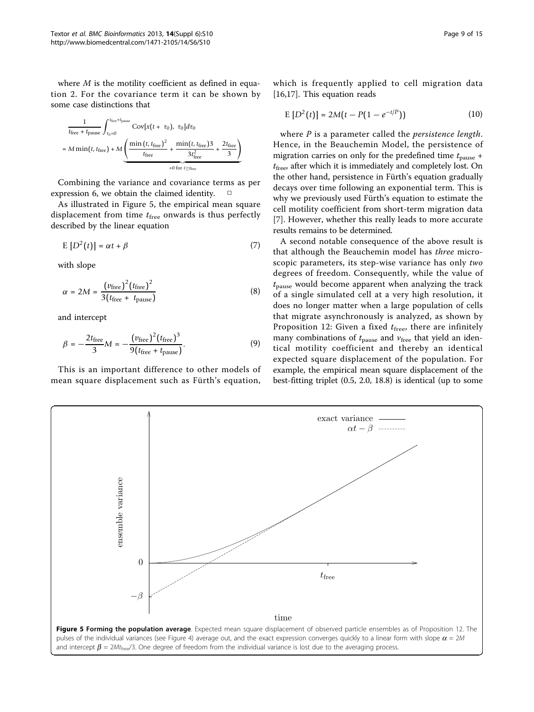where  $M$  is the motility coefficient as defined in equation 2. For the covariance term it can be shown by some case distinctions that

$$
\frac{1}{t_{\text{free}} + t_{\text{pause}}}\int_{\tau_0 = 0}^{t_{\text{free}} + t_{\text{pause}}}\text{Cov}[x(t + \tau_0), \tau_0]d\tau_0
$$
\n
$$
= M \min(t, t_{\text{free}}) + M \underbrace{\left(\frac{\min(t, t_{\text{free}})^2}{t_{\text{free}}} + \frac{\min(t, t_{\text{free}})}{3t_{\text{free}}^2} + \frac{2t_{\text{free}}}{3}\right)}_{=0 \text{ for } t \ge t_{\text{free}}}
$$

Combining the variance and covariance terms as per expression 6, we obtain the claimed identity.  $\Box$ 

As illustrated in Figure 5, the empirical mean square displacement from time  $t_{\text{free}}$  onwards is thus perfectly described by the linear equation

$$
E[D^2(t)] = \alpha t + \beta \tag{7}
$$

with slope

$$
\alpha = 2M = \frac{(v_{\text{free}})^2 (t_{\text{free}})^2}{3(t_{\text{free}} + t_{\text{pulse}})}
$$
(8)

and intercept

$$
\beta = -\frac{2t_{\text{free}}}{3}M = -\frac{(v_{\text{free}})^2 (t_{\text{free}})^3}{9(t_{\text{free}} + t_{\text{pulse}})}.\tag{9}
$$

This is an important difference to other models of mean square displacement such as Fürth's equation,

which is frequently applied to cell migration data [[16,17\]](#page-13-0). This equation reads

$$
E[D^2(t)] = 2M(t - P(1 - e^{-t/P}))
$$
\n(10)

where  $P$  is a parameter called the *persistence length*. Hence, in the Beauchemin Model, the persistence of migration carries on only for the predefined time  $t_{\text{pause}}$  +  $t_{\text{free}}$ , after which it is immediately and completely lost. On the other hand, persistence in Fürth's equation gradually decays over time following an exponential term. This is why we previously used Fürth's equation to estimate the cell motility coefficient from short-term migration data [[7\]](#page-13-0). However, whether this really leads to more accurate results remains to be determined.

A second notable consequence of the above result is that although the Beauchemin model has three microscopic parameters, its step-wise variance has only two degrees of freedom. Consequently, while the value of  $t_{\text{pause}}$  would become apparent when analyzing the track of a single simulated cell at a very high resolution, it does no longer matter when a large population of cells that migrate asynchronously is analyzed, as shown by Proposition 12: Given a fixed  $t_{\text{free}}$ , there are infinitely many combinations of  $t_{\text{pause}}$  and  $v_{\text{free}}$  that yield an identical motility coefficient and thereby an identical expected square displacement of the population. For example, the empirical mean square displacement of the best-fitting triplet (0.5, 2.0, 18.8) is identical (up to some

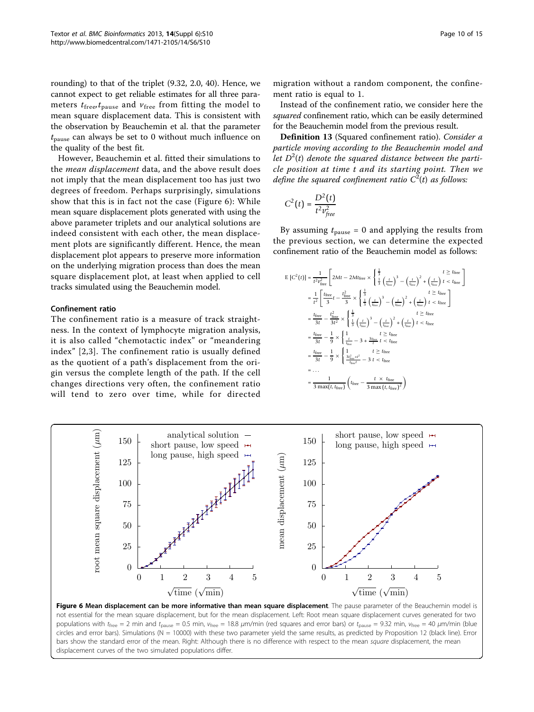rounding) to that of the triplet (9.32, 2.0, 40). Hence, we cannot expect to get reliable estimates for all three parameters  $t_{\text{free}}$ ,  $t_{\text{pause}}$  and  $v_{\text{free}}$  from fitting the model to mean square displacement data. This is consistent with the observation by Beauchemin et al. that the parameter  $t_{\text{pause}}$  can always be set to 0 without much influence on the quality of the best fit.

However, Beauchemin et al. fitted their simulations to the mean displacement data, and the above result does not imply that the mean displacement too has just two degrees of freedom. Perhaps surprisingly, simulations show that this is in fact not the case (Figure 6): While mean square displacement plots generated with using the above parameter triplets and our analytical solutions are indeed consistent with each other, the mean displacement plots are significantly different. Hence, the mean displacement plot appears to preserve more information on the underlying migration process than does the mean square displacement plot, at least when applied to cell tracks simulated using the Beauchemin model.

# Confinement ratio

The confinement ratio is a measure of track straightness. In the context of lymphocyte migration analysis, it is also called "chemotactic index" or "meandering index" [[2](#page-13-0),[3\]](#page-13-0). The confinement ratio is usually defined as the quotient of a path's displacement from the origin versus the complete length of the path. If the cell changes directions very often, the confinement ratio will tend to zero over time, while for directed migration without a random component, the confinement ratio is equal to 1.

Instead of the confinement ratio, we consider here the squared confinement ratio, which can be easily determined for the Beauchemin model from the previous result.

Definition 13 (Squared confinement ratio). Consider a particle moving according to the Beauchemin model and let  $D^2(t)$  denote the squared distance between the particle position at time t and its starting point. Then we define the squared confinement ratio  $C^2(t)$  as follows:

$$
C^2(t) = \frac{D^2(t)}{t^2 v_{free}^2}
$$

By assuming  $t_{\text{pause}} = 0$  and applying the results from the previous section, we can determine the expected confinement ratio of the Beauchemin model as follows:

$$
E[C^{2}(t)] = \frac{1}{t^{2}v_{\text{free}}^{2}} \left[ 2Mt - 2Mt_{\text{free}} \times \begin{cases} \frac{1}{3} & t \geq t_{\text{free}} \\ \frac{1}{3} \left( \frac{t}{t_{\text{free}}}\right)^{3} - \left( \frac{t}{t_{\text{free}}}\right)^{2} + \left( \frac{t}{t_{\text{free}}}\right) t < t_{\text{free}} \end{cases} \right]
$$
\n
$$
= \frac{1}{t^{2}} \left[ \frac{t_{\text{free}}}{3}t - \frac{t_{\text{free}}^{2}}{3} \times \begin{cases} \frac{1}{3} & t \geq t_{\text{free}} \\ \frac{1}{3} \left( \frac{t}{t_{\text{free}}}\right)^{3} - \left( \frac{t}{t_{\text{free}}}\right)^{2} + \left( \frac{t}{t_{\text{free}}}\right) t < t_{\text{free}} \end{cases} \right]
$$
\n
$$
= \frac{t_{\text{free}}}{3t} - \frac{t_{\text{free}}^{2}}{3t^{2}} \times \begin{cases} \frac{1}{3} & t \geq t_{\text{free}} \\ \frac{1}{3} \left( \frac{t}{t_{\text{free}}}\right)^{3} - \left( \frac{t}{t_{\text{free}}}\right)^{2} + \left( \frac{t}{t_{\text{free}}}\right) t < t_{\text{free}} \end{cases}
$$
\n
$$
= \frac{t_{\text{free}}}{3t} - \frac{1}{9} \times \begin{cases} 1 & t \geq t_{\text{free}} \\ \frac{3t_{\text{free}}^{2} + t^{2}}{t_{\text{free}}} - 3 + \frac{3t_{\text{free}}}{t} \cdot t < t_{\text{free}} \end{cases}
$$
\n
$$
= \frac{1}{3t} - \frac{1}{3} \times \begin{cases} 1 & t \geq t_{\text{free}} \\ \frac{3t_{\text{free}}^{2} + t^{2}}{t_{\text{free}}} - 3 \cdot t < t_{\text{free}} \end{cases}
$$
\n
$$
= \frac{1}{3 \max(t, t_{\text{free}})} \left( t_{\text{free}} - \frac{t \times t_{\text{free}}}{3 \max(t, t_{\text
$$



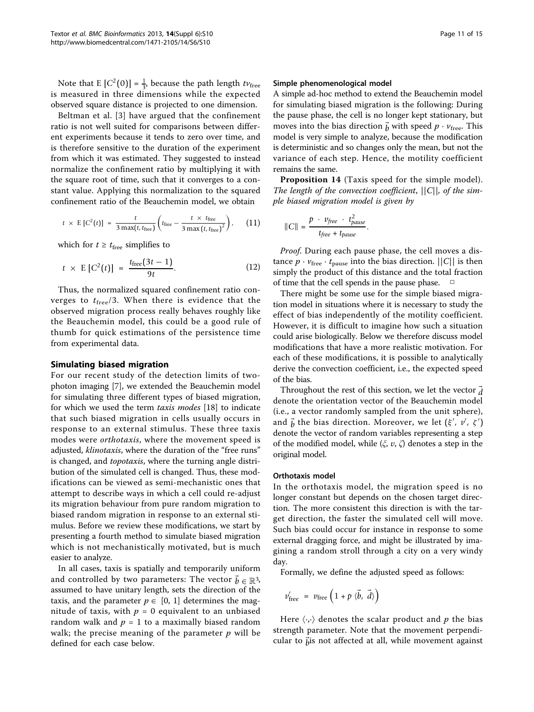Note that E  $[C^2(0)] = \frac{1}{3}$ , because the path length  $tv_{\text{free}}$ is measured in three dimensions while the expected observed square distance is projected to one dimension.

Beltman et al. [[3](#page-13-0)] have argued that the confinement ratio is not well suited for comparisons between different experiments because it tends to zero over time, and is therefore sensitive to the duration of the experiment from which it was estimated. They suggested to instead normalize the confinement ratio by multiplying it with the square root of time, such that it converges to a constant value. Applying this normalization to the squared confinement ratio of the Beauchemin model, we obtain

$$
t \times E[C^2(t)] = \frac{t}{3 \max(t, t_{\text{free}})} \left( t_{\text{free}} - \frac{t \times t_{\text{free}}}{3 \max(t, t_{\text{free}})^2} \right), \quad (11)
$$

which for  $t \geq t_{\text{free}}$  simplifies to

$$
t \times \mathrm{E}\left[C^2(t)\right] = \frac{t_{\mathrm{free}}(3t-1)}{9t}.\tag{12}
$$

Thus, the normalized squared confinement ratio converges to  $t_{\text{free}}/3$ . When there is evidence that the observed migration process really behaves roughly like the Beauchemin model, this could be a good rule of thumb for quick estimations of the persistence time from experimental data.

#### Simulating biased migration

For our recent study of the detection limits of twophoton imaging [[7\]](#page-13-0), we extended the Beauchemin model for simulating three different types of biased migration, for which we used the term taxis modes [\[18](#page-13-0)] to indicate that such biased migration in cells usually occurs in response to an external stimulus. These three taxis modes were orthotaxis, where the movement speed is adjusted, klinotaxis, where the duration of the "free runs" is changed, and topotaxis, where the turning angle distribution of the simulated cell is changed. Thus, these modifications can be viewed as semi-mechanistic ones that attempt to describe ways in which a cell could re-adjust its migration behaviour from pure random migration to biased random migration in response to an external stimulus. Before we review these modifications, we start by presenting a fourth method to simulate biased migration which is not mechanistically motivated, but is much easier to analyze.

In all cases, taxis is spatially and temporarily uniform and controlled by two parameters: The vector  $\vec{b} \in \mathbb{R}^3$ , assumed to have unitary length, sets the direction of the taxis, and the parameter  $p \in [0, 1]$  determines the magnitude of taxis, with  $p = 0$  equivalent to an unbiased random walk and  $p = 1$  to a maximally biased random walk; the precise meaning of the parameter  $p$  will be defined for each case below.

# Simple phenomenological model

A simple ad-hoc method to extend the Beauchemin model for simulating biased migration is the following: During the pause phase, the cell is no longer kept stationary, but moves into the bias direction  $\vec{b}$  with speed  $p \cdot v_{\text{free}}$ . This model is very simple to analyze, because the modification is deterministic and so changes only the mean, but not the variance of each step. Hence, the motility coefficient remains the same.

Proposition 14 (Taxis speed for the simple model). The length of the convection coefficient,  $||C||$ , of the simple biased migration model is given by

$$
||C|| = \frac{p \cdot v_{free} \cdot t_{pause}^2}{t_{free} + t_{pause}}.
$$

Proof. During each pause phase, the cell moves a distance  $p \cdot v_{\text{free}} \cdot t_{\text{pause}}$  into the bias direction.  $||C||$  is then simply the product of this distance and the total fraction of time that the cell spends in the pause phase.  $\Box$ 

There might be some use for the simple biased migration model in situations where it is necessary to study the effect of bias independently of the motility coefficient. However, it is difficult to imagine how such a situation could arise biologically. Below we therefore discuss model modifications that have a more realistic motivation. For each of these modifications, it is possible to analytically derive the convection coefficient, i.e., the expected speed of the bias.

Throughout the rest of this section, we let the vector *d* denote the orientation vector of the Beauchemin model (i.e., a vector randomly sampled from the unit sphere), and  $\vec{b}$  the bias direction. Moreover, we let  $(\xi', v', \zeta')$ denote the vector of random variables representing a step of the modified model, while  $(\xi, v, \zeta)$  denotes a step in the original model.

#### Orthotaxis model

In the orthotaxis model, the migration speed is no longer constant but depends on the chosen target direction. The more consistent this direction is with the target direction, the faster the simulated cell will move. Such bias could occur for instance in response to some external dragging force, and might be illustrated by imagining a random stroll through a city on a very windy day.

Formally, we define the adjusted speed as follows:

$$
v'_{\text{free}} = v_{\text{free}} \left( 1 + p \langle \vec{b}, \vec{d} \rangle \right)
$$

Here  $\langle \cdot, \cdot \rangle$  denotes the scalar product and p the bias strength parameter. Note that the movement perpendicular to  $\vec{b}$  is not affected at all, while movement against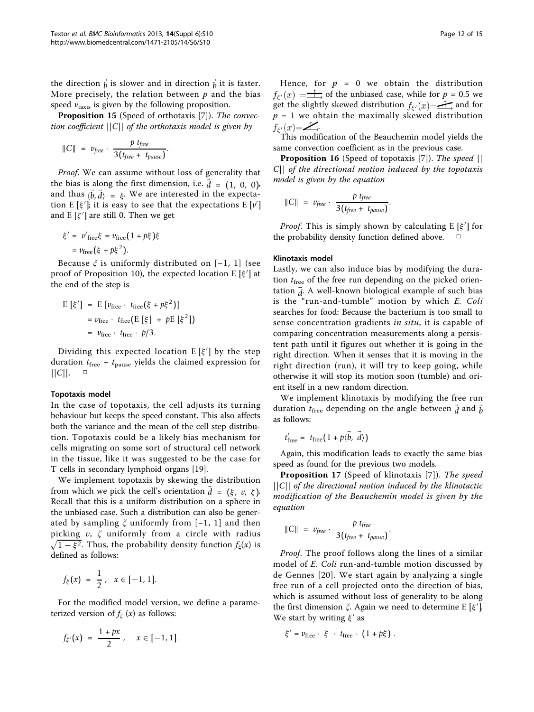the direction  $\vec{b}$  is slower and in direction  $\vec{b}$  it is faster. More precisely, the relation between  $p$  and the bias speed  $v_{\text{taxis}}$  is given by the following proposition.

Proposition 15 (Speed of orthotaxis [\[7](#page-13-0)]). The convection coefficient  $||C||$  of the orthotaxis model is given by

$$
||C|| = v_{free} \cdot \frac{p t_{free}}{3(t_{free} + t_{pause})}.
$$

Proof. We can assume without loss of generality that the bias is along the first dimension, i.e.  $\dot{d} = (1, 0, 0)$ and thus  $\langle b, d \rangle = \xi$ . We are interested in the expectation E [ξ']; it is easy to see that the expectations E [ $\nu'$ ] and E  $[\zeta']$  are still 0. Then we get

$$
\xi' = v'_{\text{free}} \xi = v_{\text{free}} \left( 1 + p \xi \right) \xi
$$

$$
= v_{\text{free}} \left( \xi + p \xi^2 \right).
$$

Because  $\xi$  is uniformly distributed on [-1, 1] (see proof of Proposition 10), the expected location E [ξ'] at the end of the step is

$$
E [\xi'] = E [v_{\text{free}} \cdot t_{\text{free}} (\xi + p\xi^2)]
$$
  
=  $v_{\text{free}} \cdot t_{\text{free}} (E [\xi] + pE [\xi^2])$   
=  $v_{\text{free}} \cdot t_{\text{free}} \cdot p/3.$ 

Dividing this expected location E  $[\xi']$  by the step duration  $t_{\text{free}} + t_{\text{pause}}$  yields the claimed expression for  $||C||.$   $\Box$ 

# Topotaxis model

In the case of topotaxis, the cell adjusts its turning behaviour but keeps the speed constant. This also affects both the variance and the mean of the cell step distribution. Topotaxis could be a likely bias mechanism for cells migrating on some sort of structural cell network in the tissue, like it was suggested to be the case for T cells in secondary lymphoid organs [\[19](#page-13-0)].

We implement topotaxis by skewing the distribution from which we pick the cell's orientation  $\vec{d} = (\xi, v, \zeta)$ . Recall that this is a uniform distribution on a sphere in the unbiased case. Such a distribution can also be generated by sampling  $\xi$  uniformly from [-1, 1] and then picking  $v$ ,  $\zeta$  uniformly from a circle with radius  $\sqrt{1-\xi^2}$ . Thus, the probability density function  $f_{\xi}(x)$  is defined as follows:

$$
f_{\xi}(x) = \frac{1}{2}, \quad x \in [-1, 1].
$$

For the modified model version, we define a parameterized version of  $f_{\xi}(x)$  as follows:

$$
f_{\xi'}(x) = \frac{1 + px}{2}, \quad x \in [-1, 1].
$$

Hence, for  $p = 0$  we obtain the distribution  $f_{\xi}(x) = \frac{1}{\pi}$  of the unbiased case, while for  $p = 0.5$  we get the slightly skewed distribution  $f_{\xi}(x) = \hat{f}$  and for  $p = 1$  we obtain the maximally skewed distribution  $f_{\xi'}(x) = \sum$ .

This modification of the Beauchemin model yields the same convection coefficient as in the previous case.

**Proposition 16** (Speed of topotaxis [[7\]](#page-13-0)). The speed ||  $C||$  of the directional motion induced by the topotaxis model is given by the equation

$$
||C|| = v_{free} \cdot \frac{p t_{free}}{3(t_{free} + t_{pause})}.
$$

*Proof.* This is simply shown by calculating E  $[\xi']$  for the probability density function defined above.

#### Klinotaxis model

Lastly, we can also induce bias by modifying the duration  $t_{\text{free}}$  of the free run depending on the picked orientation *d*. A well-known biological example of such bias is the "run-and-tumble" motion by which E. Coli searches for food: Because the bacterium is too small to sense concentration gradients in situ, it is capable of comparing concentration measurements along a persistent path until it figures out whether it is going in the right direction. When it senses that it is moving in the right direction (run), it will try to keep going, while otherwise it will stop its motion soon (tumble) and orient itself in a new random direction.

We implement klinotaxis by modifying the free run duration  $t_{\text{free}}$  depending on the angle between  $\vec{d}$  and  $\vec{b}$ as follows:

$$
t'_{\text{free}} = t_{\text{free}} \big( 1 + p \langle \vec{b}, \vec{d} \rangle \big)
$$

Again, this modification leads to exactly the same bias speed as found for the previous two models.

Proposition 17 (Speed of klinotaxis [[7\]](#page-13-0)). The speed  $||C||$  of the directional motion induced by the klinotactic modification of the Beauchemin model is given by the equation

$$
||C|| = v_{free} \cdot \frac{p t_{free}}{3(t_{free} + t_{pause})}.
$$

Proof. The proof follows along the lines of a similar model of E. Coli run-and-tumble motion discussed by de Gennes [[20\]](#page-13-0). We start again by analyzing a single free run of a cell projected onto the direction of bias, which is assumed without loss of generality to be along the first dimension  $\xi$ . Again we need to determine E [ $\xi$ <sup>'</sup>]. We start by writing  $\xi'$  as

$$
\xi' = v_{\text{free}} \cdot \xi \cdot t_{\text{free}} \cdot (1 + p\xi) \ .
$$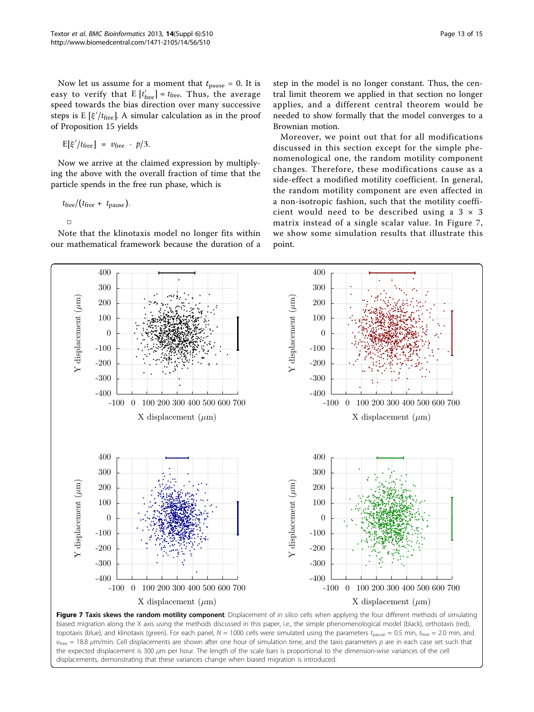Now let us assume for a moment that  $t_{\text{pause}} = 0$ . It is easy to verify that  $E[t'_{\text{free}}] = t_{\text{free}}$ . Thus, the average speed towards the bias direction over many successive steps is E [ξ /*t*free]. A simular calculation as in the proof of Proposition 15 yields

$$
E[\xi'/t_{\text{free}}] = v_{\text{free}} \cdot p/3.
$$

Now we arrive at the claimed expression by multiplying the above with the overall fraction of time that the particle spends in the free run phase, which is

$$
t_{\text{free}}/(t_{\text{free}} + t_{\text{pause}}).
$$

□

Note that the klinotaxis model no longer fits within our mathematical framework because the duration of a step in the model is no longer constant. Thus, the central limit theorem we applied in that section no longer applies, and a different central theorem would be needed to show formally that the model converges to a Brownian motion.

Moreover, we point out that for all modifications discussed in this section except for the simple phenomenological one, the random motility component changes. Therefore, these modifications cause as a side-effect a modified motility coefficient. In general, the random motility component are even affected in a non-isotropic fashion, such that the motility coefficient would need to be described using a  $3 \times 3$ matrix instead of a single scalar value. In Figure 7, we show some simulation results that illustrate this point.



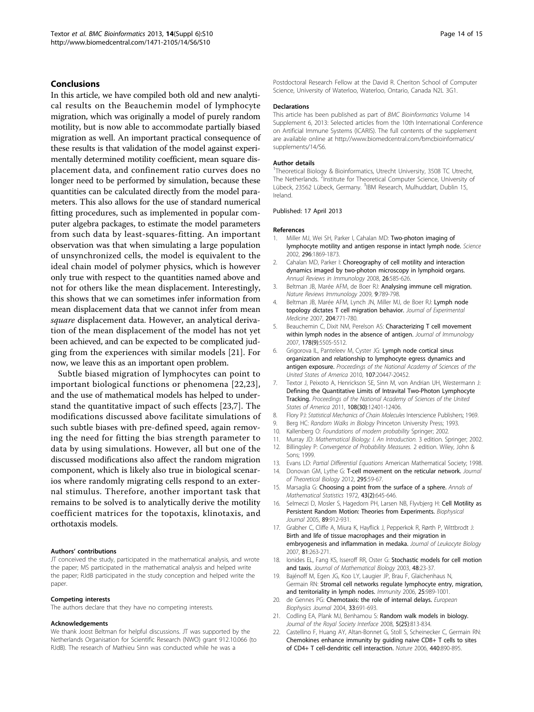# <span id="page-13-0"></span>Conclusions

In this article, we have compiled both old and new analytical results on the Beauchemin model of lymphocyte migration, which was originally a model of purely random motility, but is now able to accommodate partially biased migration as well. An important practical consequence of these results is that validation of the model against experimentally determined motility coefficient, mean square displacement data, and confinement ratio curves does no longer need to be performed by simulation, because these quantities can be calculated directly from the model parameters. This also allows for the use of standard numerical fitting procedures, such as implemented in popular computer algebra packages, to estimate the model parameters from such data by least-squares-fitting. An important observation was that when simulating a large population of unsynchronized cells, the model is equivalent to the ideal chain model of polymer physics, which is however only true with respect to the quantities named above and not for others like the mean displacement. Interestingly, this shows that we can sometimes infer information from mean displacement data that we cannot infer from mean square displacement data. However, an analytical derivation of the mean displacement of the model has not yet been achieved, and can be expected to be complicated judging from the experiences with similar models [21]. For now, we leave this as an important open problem.

Subtle biased migration of lymphocytes can point to important biological functions or phenomena [22,[23\]](#page-14-0), and the use of mathematical models has helped to understand the quantitative impact of such effects [\[23](#page-14-0),7]. The modifications discussed above facilitate simulations of such subtle biases with pre-defined speed, again removing the need for fitting the bias strength parameter to data by using simulations. However, all but one of the discussed modifications also affect the random migration component, which is likely also true in biological scenarios where randomly migrating cells respond to an external stimulus. Therefore, another important task that remains to be solved is to analytically derive the motility coefficient matrices for the topotaxis, klinotaxis, and orthotaxis models.

#### Authors' contributions

JT conceived the study, participated in the mathematical analysis, and wrote the paper; MS participated in the mathematical analysis and helped write the paper; RJdB participated in the study conception and helped write the paper.

#### Competing interests

The authors declare that they have no competing interests.

#### Acknowledgements

We thank Joost Beltman for helpful discussions. JT was supported by the Netherlands Organisation for Scientific Research (NWO) grant 912.10.066 (to RJdB). The research of Mathieu Sinn was conducted while he was a

Postdoctoral Research Fellow at the David R. Cheriton School of Computer Science, University of Waterloo, Waterloo, Ontario, Canada N2L 3G1.

#### **Declarations**

This article has been published as part of BMC Bioinformatics Volume 14 Supplement 6, 2013: Selected articles from the 10th International Conference on Artificial Immune Systems (ICARIS). The full contents of the supplement are available online at [http://www.biomedcentral.com/bmcbioinformatics/](http://www.biomedcentral.com/bmcbioinformatics/supplements/14/S6) [supplements/14/S6.](http://www.biomedcentral.com/bmcbioinformatics/supplements/14/S6)

#### Author details

<sup>1</sup>Theoretical Biology & Bioinformatics, Utrecht University, 3508 TC Utrecht, The Netherlands. <sup>2</sup>Institute for Theoretical Computer Science, University of Lübeck, 23562 Lübeck, Germany. <sup>3</sup>IBM Research, Mulhuddart, Dublin 15, Ireland.

#### Published: 17 April 2013

#### References

- 1. Miller MJ, Wei SH, Parker I, Cahalan MD: [Two-photon imaging of](http://www.ncbi.nlm.nih.gov/pubmed/12016203?dopt=Abstract) [lymphocyte motility and antigen response in intact lymph node.](http://www.ncbi.nlm.nih.gov/pubmed/12016203?dopt=Abstract) Science 2002, 296:1869-1873.
- 2. Cahalan MD, Parker I: [Choreography of cell motility and interaction](http://www.ncbi.nlm.nih.gov/pubmed/18173372?dopt=Abstract) [dynamics imaged by two-photon microscopy in lymphoid organs.](http://www.ncbi.nlm.nih.gov/pubmed/18173372?dopt=Abstract) Annual Reviews in Immunology 2008, 26:585-626.
- 3. Beltman JB, Marée AFM, de Boer RJ: [Analysing immune cell migration.](http://www.ncbi.nlm.nih.gov/pubmed/19834485?dopt=Abstract) Nature Reviews Immunology 2009, 9:789-798.
- 4. Beltman JB, Marée AFM, Lynch JN, Miller MJ, de Boer RJ: [Lymph node](http://www.ncbi.nlm.nih.gov/pubmed/17389236?dopt=Abstract) [topology dictates T cell migration behavior.](http://www.ncbi.nlm.nih.gov/pubmed/17389236?dopt=Abstract) Journal of Experimental Medicine 2007, 204:771-780.
- Beauchemin C, Dixit NM, Perelson AS: [Characterizing T cell movement](http://www.ncbi.nlm.nih.gov/pubmed/17442932?dopt=Abstract) [within lymph nodes in the absence of antigen.](http://www.ncbi.nlm.nih.gov/pubmed/17442932?dopt=Abstract) Journal of Immunology 2007, 178(9):5505-5512.
- 6. Grigorova IL, Panteleev M, Cyster JG: [Lymph node cortical sinus](http://www.ncbi.nlm.nih.gov/pubmed/21059923?dopt=Abstract) [organization and relationship to lymphocyte egress dynamics and](http://www.ncbi.nlm.nih.gov/pubmed/21059923?dopt=Abstract) [antigen exposure.](http://www.ncbi.nlm.nih.gov/pubmed/21059923?dopt=Abstract) Proceedings of the National Academy of Sciences of the United States of America 2010, 107:20447-20452.
- 7. Textor J, Peixoto A, Henrickson SE, Sinn M, von Andrian UH, Westermann J: [Defining the Quantitative Limits of Intravital Two-Photon Lymphocyte](http://www.ncbi.nlm.nih.gov/pubmed/21734152?dopt=Abstract) [Tracking.](http://www.ncbi.nlm.nih.gov/pubmed/21734152?dopt=Abstract) Proceedings of the National Academy of Sciences of the United States of America 2011, 108(30):12401-12406.
- 8. Flory PJ: Statistical Mechanics of Chain Molecules Interscience Publishers; 1969.
- Berg HC: Random Walks in Biology Princeton University Press; 1993.
- 10. Kallenberg O: Foundations of modern probability Springer; 2002.
- 11. Murray JD: Mathematical Biology: I. An Introduction. 3 edition. Springer; 2002.
- 12. Billingsley P: Convergence of Probability Measures. 2 edition. Wiley, John & Sons; 1999.
- 13. Evans LD: Partial Differential Equations American Mathematical Society; 1998.
- 14. Donovan GM, Lythe G: [T-cell movement on the reticular network.](http://www.ncbi.nlm.nih.gov/pubmed/22100488?dopt=Abstract) Journal of Theoretical Biology 2012, 295:59-67.
- 15. Marsaglia G: Choosing a point from the surface of a sphere. Annals of Mathematical Statistics 1972, 43(2):645-646.
- 16. Selmeczi D, Mosler S, Hagedorn PH, Larsen NB, Flyvbjerg H: [Cell Motility as](http://www.ncbi.nlm.nih.gov/pubmed/15951372?dopt=Abstract) [Persistent Random Motion: Theories from Experiments.](http://www.ncbi.nlm.nih.gov/pubmed/15951372?dopt=Abstract) Biophysical Journal 2005, 89:912-931.
- 17. Grabher C, Cliffe A, Miura K, Hayflick J, Pepperkok R, Rørth P, Wittbrodt J: [Birth and life of tissue macrophages and their migration in](http://www.ncbi.nlm.nih.gov/pubmed/17046968?dopt=Abstract) [embryogenesis and inflammation in medaka.](http://www.ncbi.nlm.nih.gov/pubmed/17046968?dopt=Abstract) Journal of Leukocyte Biology 2007, 81:263-271.
- 18. Ionides EL, Fang KS, Isseroff RR, Oster G: [Stochastic models for cell motion](http://www.ncbi.nlm.nih.gov/pubmed/14685770?dopt=Abstract) [and taxis.](http://www.ncbi.nlm.nih.gov/pubmed/14685770?dopt=Abstract) Journal of Mathematical Biology 2003, 48:23-37.
- 19. Bajénoff M, Egen JG, Koo LY, Laugier JP, Brau F, Glaichenhaus N, Germain RN: [Stromal cell networks regulate lymphocyte entry, migration,](http://www.ncbi.nlm.nih.gov/pubmed/17112751?dopt=Abstract) [and territoriality in lymph nodes.](http://www.ncbi.nlm.nih.gov/pubmed/17112751?dopt=Abstract) Immunity 2006, 25:989-1001.
- 20. de Gennes PG: [Chemotaxis: the role of internal delays.](http://www.ncbi.nlm.nih.gov/pubmed/15257424?dopt=Abstract) European Biophysics Journal 2004, 33:691-693.
- 21. Codling EA, Plank MJ, Benhamou S: [Random walk models in biology.](http://www.ncbi.nlm.nih.gov/pubmed/18426776?dopt=Abstract) Journal of the Royal Society Interface 2008, 5(25):813-834.
- 22. Castellino F, Huang AY, Altan-Bonnet G, Stoll S, Scheinecker C, Germain RN: [Chemokines enhance immunity by guiding naive CD8+ T cells to sites](http://www.ncbi.nlm.nih.gov/pubmed/16612374?dopt=Abstract) [of CD4+ T cell-dendritic cell interaction.](http://www.ncbi.nlm.nih.gov/pubmed/16612374?dopt=Abstract) Nature 2006, 440:890-895.